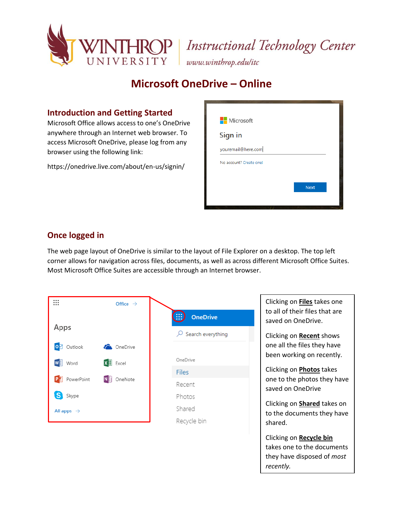

### **IROP** Instructional Technology Center

www.winthrop.edulitc

### **Microsoft OneDrive – Online**

#### **Introduction and Getting Started**

Microsoft Office allows access to one's OneDrive anywhere through an Internet web browser. To access Microsoft OneDrive, please log from any browser using the following link:

https://onedrive.live.com/about/en-us/signin/

| <b>Nicrosoft</b>        |             |
|-------------------------|-------------|
| Sign in                 |             |
| youremail@here.com      |             |
| No account? Create one! |             |
|                         |             |
|                         | <b>Next</b> |

#### **Once logged in**

The web page layout of OneDrive is similar to the layout of File Explorer on a desktop. The top left corner allows for navigation across files, documents, as well as across different Microsoft Office Suites. Most Microsoft Office Suites are accessible through an Internet browser.

| ∷                      | Office $\rightarrow$                   | $\left( \begin{array}{c} 0 \\ 0 \end{array} \right)$<br><b>OneDrive</b> | Click<br>to al |
|------------------------|----------------------------------------|-------------------------------------------------------------------------|----------------|
| Apps                   |                                        | Search everything<br>₽                                                  | save<br>Click  |
| O <sub>2</sub> Outlook | <b>C</b> OneDrive                      |                                                                         | one            |
| $W \equiv$ Word        | $\mathbf{X}$ Excel                     | OneDrive                                                                | beer           |
|                        | $P^2$ PowerPoint<br>N <b>E</b> OneNote | <b>Files</b>                                                            | Click          |
|                        |                                        | Recent                                                                  | one :<br>save  |
| S Skype                |                                        | Photos                                                                  |                |
| All apps $\rightarrow$ | Shared                                 | Click<br>to th                                                          |                |
|                        | Recycle bin                            | shar                                                                    |                |

ing on Files takes one II of their files that are d on OneDrive.

ing on **Recent** shows all the files they have n working on recently.

Clicking on **Photos** takes to the photos they have d on OneDrive

ing on **Shared** takes on e documents they have ed.

ing on **Recycle bin** s one to the documents have disposed of *most recently.*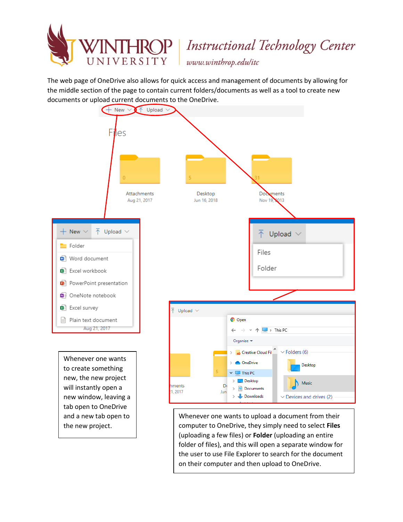

# HROP | Instructional Technology Center

www.winthrop.edulitc

The web page of OneDrive also allows for quick access and management of documents by allowing for the middle section of the page to contain current folders/documents as well as a tool to create new documents or upload current documents to the OneDrive.



Whenever one wants to upload a document from their computer to OneDrive, they simply need to select **Files**  (uploading a few files) or **Folder** (uploading an entire folder of files), and this will open a separate window for the user to use File Explorer to search for the document on their computer and then upload to OneDrive.

 $\vee$  Devices and drives (2)

 $\rightarrow$   $\rightarrow$  Downloads

new window, leaving a tab open to OneDrive and a new tab open to the new project.